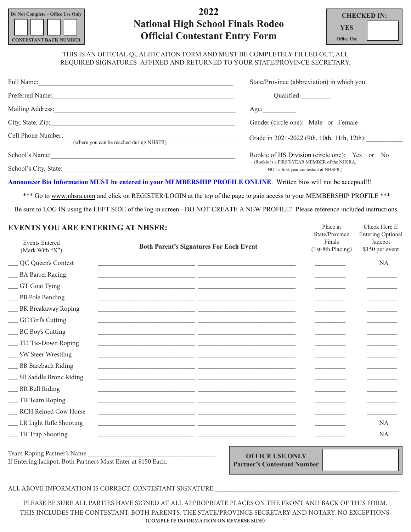

# **2022 National High School Finals Rodeo Official Contestant Entry Form**

| CHECKED IN:       |  |
|-------------------|--|
| YES.              |  |
| <b>Office Use</b> |  |

Place at

Check Here If

#### THIS IS AN OFFICIAL QUALIFICATION FORM AND MUST BE COMPLETELY FILLED OUT, ALL REQUIRED SIGNATURES AFFIXED AND RETURNED TO YOUR STATE/PROVINCE SECRETARY.

| Full Name:<br><u> 1980 - John Stein, Amerikaansk politiker (</u> † 1902) | State/Province (abbreviation) in which you                                             |
|--------------------------------------------------------------------------|----------------------------------------------------------------------------------------|
| Preferred Name:                                                          | Qualified:                                                                             |
|                                                                          | Age:                                                                                   |
| City, State, Zip:                                                        | Gender (circle one): Male or Female                                                    |
| Cell Phone Number:<br>(where you can be reached during NHSFR)            | Grade in 2021-2022 (9th, 10th, 11th, 12th):                                            |
| School's Name:                                                           | Rookie of HS Division (circle one): Yes or No                                          |
| School's City, State:                                                    | (Rookie is a FIRST-YEAR MEMBER of the NHSRA,<br>NOT a first-year contestant at NHSFR.) |

**Announcer Bio Information MUST be entered in your MEMBERSHIP PROFILE ONLINE**. Written bios will not be accepted!!!

\*\*\* Go to www.nhsra.com and click on REGISTER/LOGIN at the top of the page to gain access to your MEMBERSHIP PROFILE \*\*\* Be sure to LOG IN using the LEFT SIDE of the log in screen - DO NOT CREATE A NEW PROFILE! Please reference included instructions.

#### **EVENTS YOU ARE ENTERING AT NHSFR:**

| EVERIS TOU ANE ERTENIRU AT RHSFN.        |                                                | State/Province<br>Finals | <b>Entering Optional</b>   |
|------------------------------------------|------------------------------------------------|--------------------------|----------------------------|
| <b>Events Entered</b><br>(Mark With "X") | <b>Both Parent's Signatures For Each Event</b> |                          | Jackpot<br>\$150 per event |
| __ QC Queen's Contest                    |                                                |                          | <b>NA</b>                  |
| ___ BA Barrel Racing                     |                                                |                          |                            |
| __ GT Goat Tying                         |                                                |                          |                            |
| __ PB Pole Bending                       |                                                |                          |                            |
| __ BK Breakaway Roping                   |                                                |                          |                            |
| ___ GC Girl's Cutting                    |                                                |                          |                            |
| __ BC Boy's Cutting                      |                                                |                          |                            |
| __ TD Tie-Down Roping                    |                                                |                          |                            |
| __ SW Steer Wrestling                    |                                                |                          |                            |
| ___ BB Bareback Riding                   |                                                |                          |                            |
| ___ SB Saddle Bronc Riding               |                                                |                          |                            |
| __ BR Bull Riding                        |                                                |                          |                            |
| __ TR Team Roping                        |                                                |                          |                            |
| __ RCH Reined Cow Horse                  |                                                |                          |                            |
| __ LR Light Rifle Shooting               |                                                |                          | NA                         |
| __ TR Trap Shooting                      |                                                |                          | <b>NA</b>                  |
|                                          |                                                |                          |                            |

Team Roping Partner's Name: If Entering Jackpot, Both Partners Must Enter at \$150 Each.

**OFFICE USE ONLY Partner's Contestant Number**

ALL ABOVE INFORMATION IS CORRECT. CONTESTANT SIGNATURE:

PLEASE BE SURE ALL PARTIES HAVE SIGNED AT ALL APPROPRIATE PLACES ON THE FRONT AND BACK OF THIS FORM. THIS INCLUDES THE CONTESTANT, BOTH PARENTS, THE STATE/PROVINCE SECRETARY AND NOTARY. NO EXCEPTIONS. **(COMPLETE INFORMATION ON REVERSE SIDE)**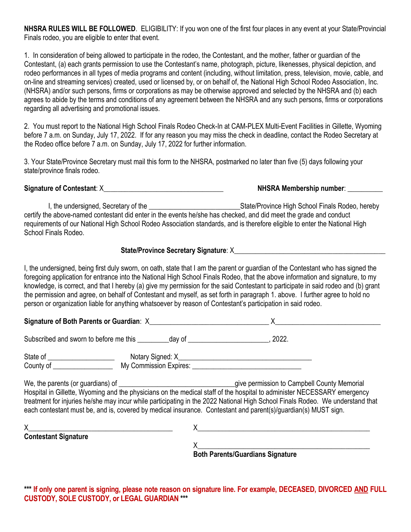**NHSRA RULES WILL BE FOLLOWED**. ELIGIBILITY: If you won one of the first four places in any event at your State/Provincial Finals rodeo, you are eligible to enter that event.

1. In consideration of being allowed to participate in the rodeo, the Contestant, and the mother, father or guardian of the Contestant, (a) each grants permission to use the Contestant's name, photograph, picture, likenesses, physical depiction, and rodeo performances in all types of media programs and content (including, without limitation, press, television, movie, cable, and on-line and streaming services) created, used or licensed by, or on behalf of, the National High School Rodeo Association, Inc. (NHSRA) and/or such persons, firms or corporations as may be otherwise approved and selected by the NHSRA and (b) each agrees to abide by the terms and conditions of any agreement between the NHSRA and any such persons, firms or corporations regarding all advertising and promotional issues.

2. You must report to the National High School Finals Rodeo Check-In at CAM-PLEX Multi-Event Facilities in Gillette, Wyoming before 7 a.m. on Sunday, July 17, 2022. If for any reason you may miss the check in deadline, contact the Rodeo Secretary at the Rodeo office before 7 a.m. on Sunday, July 17, 2022 for further information.

3. Your State/Province Secretary must mail this form to the NHSRA, postmarked no later than five (5) days following your state/province finals rodeo.

**Signature of Contestant**: X\_\_\_\_\_\_\_\_\_\_\_\_\_\_\_\_\_\_\_\_\_\_\_\_\_\_\_\_\_\_\_\_\_\_ **NHSRA Membership number**: \_\_\_\_\_\_\_\_\_\_

I, the undersigned, Secretary of the **Exercise 1988** State/Province High School Finals Rodeo, hereby certify the above-named contestant did enter in the events he/she has checked, and did meet the grade and conduct requirements of our National High School Rodeo Association standards, and is therefore eligible to enter the National High School Finals Rodeo.

### State/Province Secretary Signature: X

I, the undersigned, being first duly sworn, on oath, state that I am the parent or guardian of the Contestant who has signed the foregoing application for entrance into the National High School Finals Rodeo, that the above information and signature, to my knowledge, is correct, and that I hereby (a) give my permission for the said Contestant to participate in said rodeo and (b) grant the permission and agree, on behalf of Contestant and myself, as set forth in paragraph 1. above. I further agree to hold no person or organization liable for anything whatsoever by reason of Contestant's participation in said rodeo.

**Signature of Both Parents or Guardian**: X\_\_\_\_\_\_\_\_\_\_\_\_\_\_\_\_\_\_\_\_\_\_\_\_\_\_\_\_\_\_\_\_\_\_ X\_\_\_\_\_\_\_\_\_\_\_\_\_\_\_\_\_\_\_\_\_\_\_\_\_\_\_\_\_\_

Subscribed and sworn to before me this \_\_\_\_\_\_\_\_\_ day of \_\_\_\_\_\_\_\_\_\_\_\_\_\_\_\_\_\_\_\_\_\_\_, 2022.

State of \_\_\_\_\_\_\_\_\_\_\_\_\_\_\_\_\_\_\_ Notary Signed: X\_\_\_\_\_\_\_\_\_\_\_\_\_\_\_\_\_\_\_\_\_\_\_\_\_\_\_\_\_\_\_\_\_\_\_\_\_\_ County of \_\_\_\_\_\_\_\_\_\_\_\_\_\_\_\_\_ My Commission Expires: \_\_\_\_\_\_\_\_\_\_\_\_\_\_\_\_\_\_\_\_\_\_\_\_\_\_\_\_\_\_\_

We, the parents (or guardians) of \_\_\_\_\_\_\_\_\_\_\_\_\_\_\_\_\_\_\_\_\_\_\_\_\_\_\_\_\_\_\_\_\_give permission to Campbell County Memorial Hospital in Gillette, Wyoming and the physicians on the medical staff of the hospital to administer NECESSARY emergency treatment for injuries he/she may incur while participating in the 2022 National High School Finals Rodeo. We understand that each contestant must be, and is, covered by medical insurance. Contestant and parent(s)/guardian(s) MUST sign.

| <b>Contestant Signature</b> |                                         |  |
|-----------------------------|-----------------------------------------|--|
|                             |                                         |  |
|                             | <b>Both Parents/Guardians Signature</b> |  |

**\*\*\* If only one parent is signing, please note reason on signature line. For example, DECEASED, DIVORCED AND FULL CUSTODY, SOLE CUSTODY, or LEGAL GUARDIAN \*\*\***